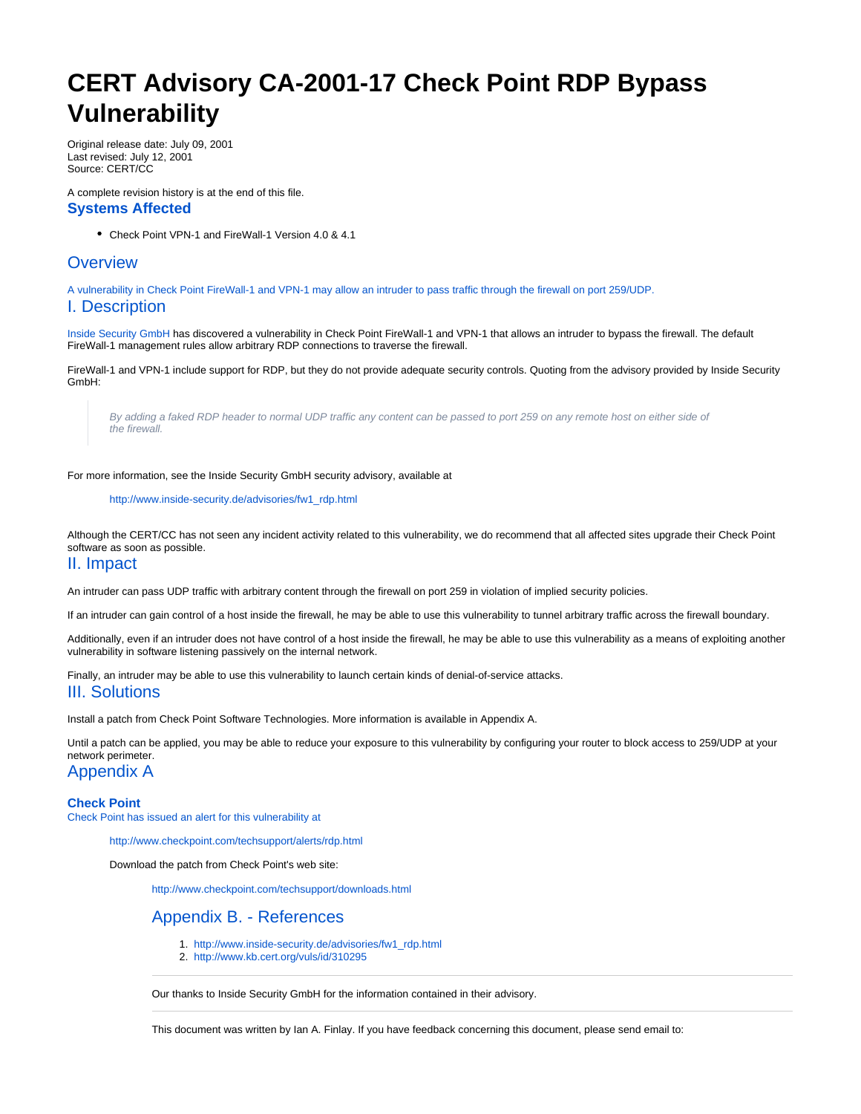# **CERT Advisory CA-2001-17 Check Point RDP Bypass Vulnerability**

Original release date: July 09, 2001 Last revised: July 12, 2001 Source: CERT/CC

A complete revision history is at the end of this file. **Systems Affected**

Check Point VPN-1 and FireWall-1 Version 4.0 & 4.1

## **Overview**

A vulnerability in Check Point FireWall-1 and VPN-1 may allow an intruder to pass traffic through the firewall on port 259/UDP.

#### I. Description

[Inside Security GmbH](http://www.inside-security.de/about_us/) has discovered a vulnerability in Check Point FireWall-1 and VPN-1 that allows an intruder to bypass the firewall. The default FireWall-1 management rules allow arbitrary RDP connections to traverse the firewall.

FireWall-1 and VPN-1 include support for RDP, but they do not provide adequate security controls. Quoting from the advisory provided by Inside Security GmbH:

By adding a faked RDP header to normal UDP traffic any content can be passed to port 259 on any remote host on either side of the firewall.

For more information, see the Inside Security GmbH security advisory, available at

[http://www.inside-security.de/advisories/fw1\\_rdp.html](http://www.inside-security.de/advisories/fw1_rdp.html)

Although the CERT/CC has not seen any incident activity related to this vulnerability, we do recommend that all affected sites upgrade their Check Point software as soon as possible.

#### II. Impact

An intruder can pass UDP traffic with arbitrary content through the firewall on port 259 in violation of implied security policies.

If an intruder can gain control of a host inside the firewall, he may be able to use this vulnerability to tunnel arbitrary traffic across the firewall boundary.

Additionally, even if an intruder does not have control of a host inside the firewall, he may be able to use this vulnerability as a means of exploiting another vulnerability in software listening passively on the internal network.

Finally, an intruder may be able to use this vulnerability to launch certain kinds of denial-of-service attacks.

### III. Solutions

Install a patch from Check Point Software Technologies. More information is available in Appendix A.

Until a patch can be applied, you may be able to reduce your exposure to this vulnerability by configuring your router to block access to 259/UDP at your network perimeter.

Appendix A

**Check Point** Check Point has issued an alert for this vulnerability at

<http://www.checkpoint.com/techsupport/alerts/rdp.html>

Download the patch from Check Point's web site:

<http://www.checkpoint.com/techsupport/downloads.html>

## Appendix B. - References

- 1. [http://www.inside-security.de/advisories/fw1\\_rdp.html](http://www.inside-security.de/advisories/fw1_rdp.html)
- 2. <http://www.kb.cert.org/vuls/id/310295>

Our thanks to Inside Security GmbH for the information contained in their advisory.

This document was written by Ian A. Finlay. If you have feedback concerning this document, please send email to: